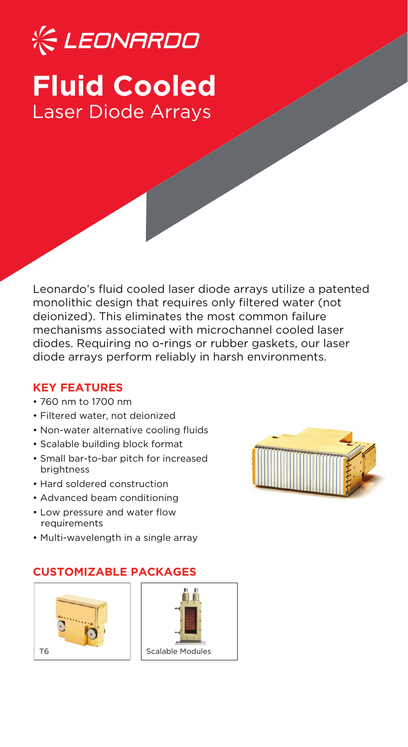# **《CLEONARDO Fluid Cooled** Laser Diode Arrays

Leonardo's fluid cooled laser diode arrays utilize a patented monolithic design that requires only filtered water (not deionized). This eliminates the most common failure mechanisms associated with microchannel cooled laser diodes. Requiring no o-rings or rubber gaskets, our laser diode arrays perform reliably in harsh environments.

### **KEY FEATURES**

- 760 nm to 1700 nm
- Filtered water, not deionized
- Non-water alternative cooling fluids
- Scalable building block format
- Small bar-to-bar pitch for increased brightness
- Hard soldered construction
- Advanced beam conditioning
- Low pressure and water flow requirements
- Multi-wavelength in a single array

## **CUSTOMIZABLE PACKAGES**